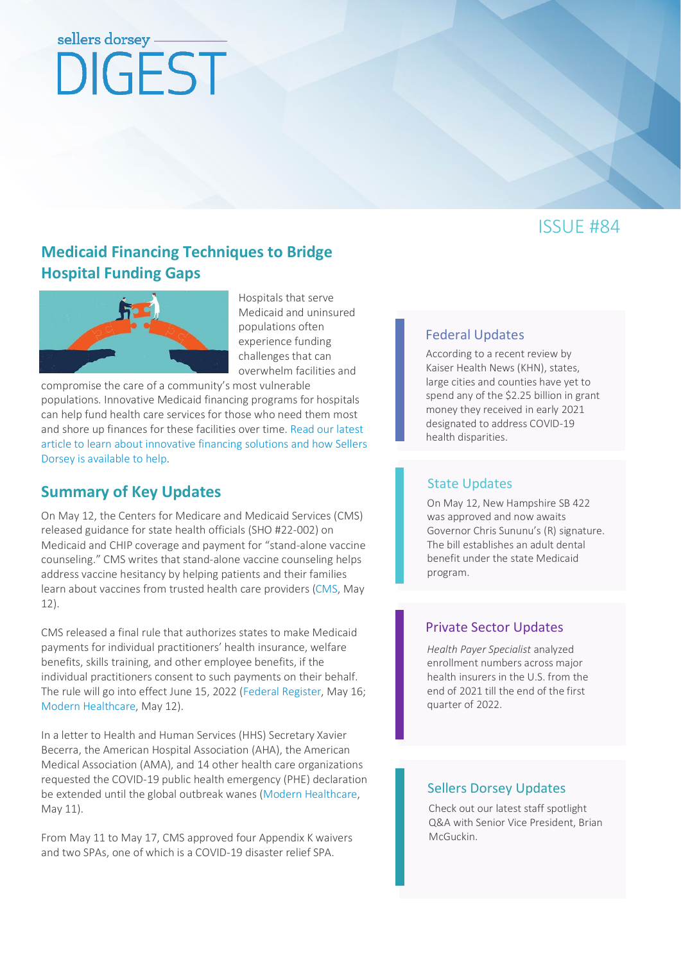# sellers dorsey DIGEST

# ISSUE #84

## **[Medicaid Financing Techniques to Bridge](https://www.sellersdorsey.com/news-resources/announcements/medicaid-financing-techniques-to-bridge-hospital-funding-gaps/)  [Hospital Funding Gaps](https://www.sellersdorsey.com/news-resources/announcements/medicaid-financing-techniques-to-bridge-hospital-funding-gaps/)**



Hospitals that serve Medicaid and uninsured populations often experience funding challenges that can overwhelm facilities and

compromise the care of a community's most vulnerable populations. Innovative Medicaid financing programs for hospitals can help fund health care services for those who need them most and shore up finances for these facilities over time. Read our latest [article to learn about innovative financing solutions and how Sellers](https://www.sellersdorsey.com/news-resources/announcements/medicaid-financing-techniques-to-bridge-hospital-funding-gaps/)  Dorsey is [available to help.](https://www.sellersdorsey.com/news-resources/announcements/medicaid-financing-techniques-to-bridge-hospital-funding-gaps/)

## **Summary of Key Updates**

On May 12, the Centers for Medicare and Medicaid Services (CMS) released guidance for state health officials (SHO #22-002) on Medicaid and CHIP coverage and payment for "stand-alone vaccine counseling." CMS writes that stand-alone vaccine counseling helps address vaccine hesitancy by helping patients and their families learn about vaccines from trusted health care providers [\(CMS,](https://www.medicaid.gov/federal-policy-guidance/downloads/sho22002.pdf) May 12).

CMS released a final rule that authorizes states to make Medicaid payments for individual practitioners' health insurance, welfare benefits, skills training, and other employee benefits, if the individual practitioners consent to such payments on their behalf. The rule will go into effect June 15, 2022 [\(Federal Register,](https://www.federalregister.gov/documents/2022/05/16/2022-10225/medicaid-program-reassignment-of-medicaid-provider-claims) May 16; [Modern Healthcare,](https://www.modernhealthcare.com/home-health/states-can-again-directly-pay-home-health-aides-insurance) May 12).

In a letter to Health and Human Services (HHS) Secretary Xavier Becerra, the American Hospital Association (AHA), the American Medical Association (AMA), and 14 other health care organizations requested the COVID-19 public health emergency (PHE) declaration be extended until the global outbreak wanes [\(Modern Healthcare,](https://www.modernhealthcare.com/policy/aha-ama-ask-hhs-covid-19-emergency-extension) May 11).

From May 11 to May 17, CMS approved four Appendix K waivers and two SPAs, one of which is a COVID-19 disaster relief SPA.

## [Federal Updates](#page-1-0)

According to a recent review by Kaiser Health News (KHN), states, large cities and counties have yet to spend any of the \$2.25 billion in grant money they received in early 2021 [designated to address COVID-19](https://www.sellersdorsey.com/news-resources/announcements/medicaid-financing-techniques-to-bridge-hospital-funding-gaps/)  health disparities.

### [State Updates](#page-2-0)

On May 12, New Hampshire SB 422 was approved and now awaits Governor Chris Sununu's (R) signature. The bill establishes an adult dental benefit under the state Medicaid program.

#### [Private Sector Updates](#page-4-0)

*Health Payer Specialist* analyzed enrollment numbers across major health insurers in the U.S. from the end of 2021 till the end of the first quarter of 2022.

## [Sellers Dorsey Updates](#page-4-1)

Check out our latest staff spotlight Q&A with Senior Vice President, Brian McGuckin.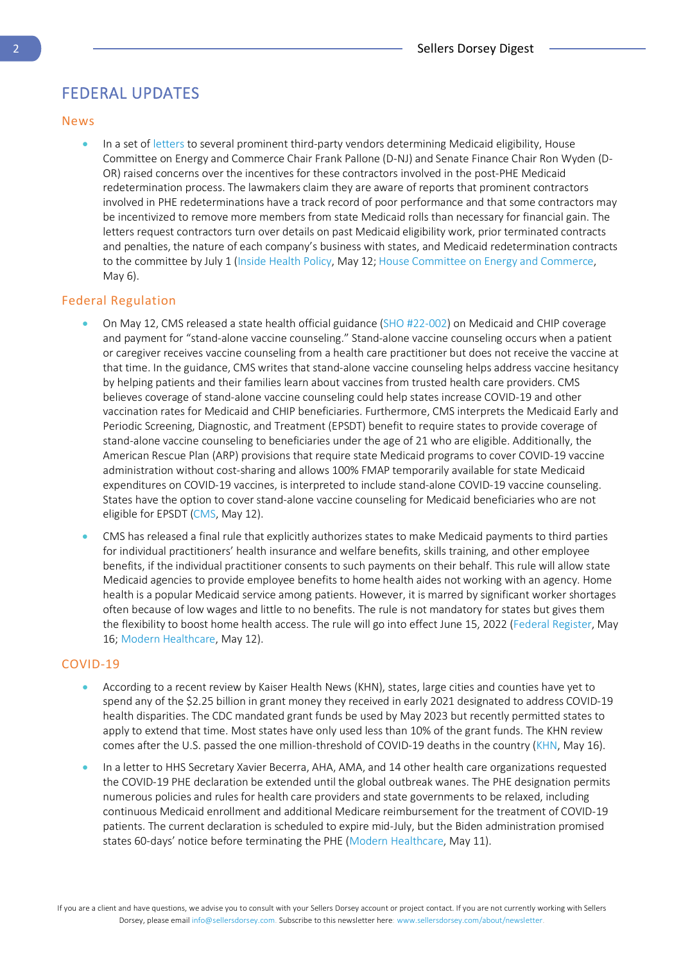## <span id="page-1-0"></span>FEDERAL UPDATES

#### News

In a set of [letters](https://insidehealthpolicy.com/sites/insidehealthpolicy.com/files/documents/2022/may/he2022_1186.pdf) to several prominent third-party vendors determining Medicaid eligibility, House Committee on Energy and Commerce Chair Frank Pallone (D-NJ) and Senate Finance Chair Ron Wyden (D-OR) raised concerns over the incentives for these contractors involved in the post-PHE Medicaid redetermination process. The lawmakers claim they are aware of reports that prominent contractors involved in PHE redeterminations have a track record of poor performance and that some contractors may be incentivized to remove more members from state Medicaid rolls than necessary for financial gain. The letters request contractors turn over details on past Medicaid eligibility work, prior terminated contracts and penalties, the nature of each company's business with states, and Medicaid redetermination contracts to the committee by July 1 [\(Inside Health Policy,](https://insidehealthpolicy.com/daily-news/pallone-wyden-question-contractors%E2%80%99-role-medicaid-redeterminations) May 12[; House Committee on Energy and Commerce,](https://energycommerce.house.gov/newsroom/press-releases/pallone-wyden-question-state-contractors-on-preparation-and-planning-for) May 6).

#### Federal Regulation

- On May 12, CMS released a state health official guidance [\(SHO #22-002\)](https://www.medicaid.gov/federal-policy-guidance/downloads/sho22002.pdf) on Medicaid and CHIP coverage and payment for "stand-alone vaccine counseling." Stand-alone vaccine counseling occurs when a patient or caregiver receives vaccine counseling from a health care practitioner but does not receive the vaccine at that time. In the guidance, CMS writes that stand-alone vaccine counseling helps address vaccine hesitancy by helping patients and their families learn about vaccines from trusted health care providers. CMS believes coverage of stand-alone vaccine counseling could help states increase COVID-19 and other vaccination rates for Medicaid and CHIP beneficiaries. Furthermore, CMS interprets the Medicaid Early and Periodic Screening, Diagnostic, and Treatment (EPSDT) benefit to require states to provide coverage of stand-alone vaccine counseling to beneficiaries under the age of 21 who are eligible. Additionally, the American Rescue Plan (ARP) provisions that require state Medicaid programs to cover COVID-19 vaccine administration without cost-sharing and allows 100% FMAP temporarily available for state Medicaid expenditures on COVID-19 vaccines, is interpreted to include stand-alone COVID-19 vaccine counseling. States have the option to cover stand-alone vaccine counseling for Medicaid beneficiaries who are not eligible for EPSDT [\(CMS,](https://www.medicaid.gov/federal-policy-guidance/downloads/sho22002.pdf) May 12).
- CMS has released a final rule that explicitly authorizes states to make Medicaid payments to third parties for individual practitioners' health insurance and welfare benefits, skills training, and other employee benefits, if the individual practitioner consents to such payments on their behalf. This rule will allow state Medicaid agencies to provide employee benefits to home health aides not working with an agency. Home health is a popular Medicaid service among patients. However, it is marred by significant worker shortages often because of low wages and little to no benefits. The rule is not mandatory for states but gives them the flexibility to boost home health access. The rule will go into effect June 15, 2022 [\(Federal Register,](https://www.federalregister.gov/documents/2022/05/16/2022-10225/medicaid-program-reassignment-of-medicaid-provider-claims) May 16; [Modern Healthcare,](https://www.modernhealthcare.com/home-health/states-can-again-directly-pay-home-health-aides-insurance) May 12).

#### COVID-19

- According to a recent review by Kaiser Health News (KHN), states, large cities and counties have yet to spend any of the \$2.25 billion in grant money they received in early 2021 designated to address COVID-19 health disparities. The CDC mandated grant funds be used by May 2023 but recently permitted states to apply to extend that time. Most states have only used less than 10% of the grant funds. The KHN review comes after the U.S. passed the one million-threshold of COVID-19 deaths in the country [\(KHN,](https://khn.org/news/article/covid-health-disparities-federal-funding-state-spending/) May 16).
- In a letter to HHS Secretary Xavier Becerra, AHA, AMA, and 14 other health care organizations requested the COVID-19 PHE declaration be extended until the global outbreak wanes. The PHE designation permits numerous policies and rules for health care providers and state governments to be relaxed, including continuous Medicaid enrollment and additional Medicare reimbursement for the treatment of COVID-19 patients. The current declaration is scheduled to expire mid-July, but the Biden administration promised states 60-days' notice before terminating the PHE [\(Modern Healthcare,](https://www.modernhealthcare.com/policy/aha-ama-ask-hhs-covid-19-emergency-extension) May 11).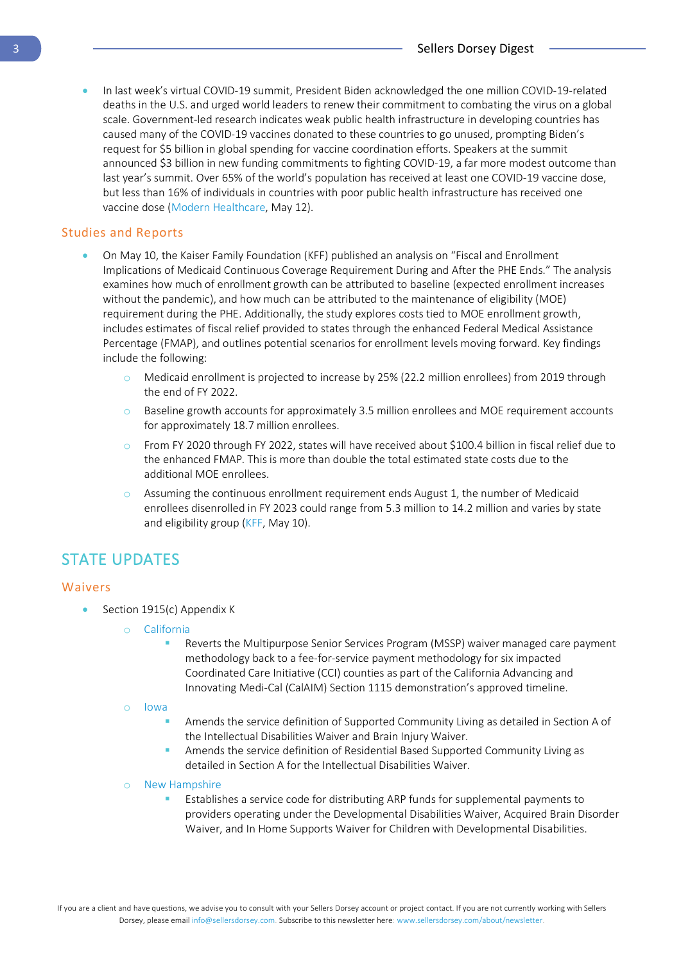• In last week's virtual COVID-19 summit, President Biden acknowledged the one million COVID-19-related deaths in the U.S. and urged world leaders to renew their commitment to combating the virus on a global scale. Government-led research indicates weak public health infrastructure in developing countries has caused many of the COVID-19 vaccines donated to these countries to go unused, prompting Biden's request for \$5 billion in global spending for vaccine coordination efforts. Speakers at the summit announced \$3 billion in new funding commitments to fighting COVID-19, a far more modest outcome than last year's summit. Over 65% of the world's population has received at least one COVID-19 vaccine dose, but less than 16% of individuals in countries with poor public health infrastructure has received one vaccine dose [\(Modern Healthcare,](https://www.modernhealthcare.com/politics-policy/biden-co-hosts-2nd-global-covid-summit-us-nears-1m-deaths) May 12).

#### Studies and Reports

- On May 10, the Kaiser Family Foundation (KFF) published an analysis on "Fiscal and Enrollment Implications of Medicaid Continuous Coverage Requirement During and After the PHE Ends." The analysis examines how much of enrollment growth can be attributed to baseline (expected enrollment increases without the pandemic), and how much can be attributed to the maintenance of eligibility (MOE) requirement during the PHE. Additionally, the study explores costs tied to MOE enrollment growth, includes estimates of fiscal relief provided to states through the enhanced Federal Medical Assistance Percentage (FMAP), and outlines potential scenarios for enrollment levels moving forward. Key findings include the following:
	- o Medicaid enrollment is projected to increase by 25% (22.2 million enrollees) from 2019 through the end of FY 2022.
	- $\circ$  Baseline growth accounts for approximately 3.5 million enrollees and MOE requirement accounts for approximately 18.7 million enrollees.
	- o From FY 2020 through FY 2022, states will have received about \$100.4 billion in fiscal relief due to the enhanced FMAP. This is more than double the total estimated state costs due to the additional MOE enrollees.
	- $\circ$  Assuming the continuous enrollment requirement ends August 1, the number of Medicaid enrollees disenrolled in FY 2023 could range from 5.3 million to 14.2 million and varies by state and eligibility group [\(KFF,](https://www.kff.org/medicaid/issue-brief/fiscal-and-enrollment-implications-of-medicaid-continuous-coverage-requirement-during-and-after-the-phe-ends/) May 10).

## <span id="page-2-0"></span>STATE UPDATES

#### Waivers

- Section 1915(c) Appendix K
	- o [California](https://www.medicaid.gov/state-resource-center/downloads/ca-0141-10-appendix-k-appvl.pdf)
		- Reverts the Multipurpose Senior Services Program (MSSP) waiver managed care payment methodology back to a fee-for-service payment methodology for six impacted Coordinated Care Initiative (CCI) counties as part of the California Advancing and Innovating Medi-Cal (CalAIM) Section 1115 demonstration's approved timeline.
	- o [Iowa](https://www.medicaid.gov/state-resource-center/downloads/ia-0242-0299-combined-appendix-k-appvl.pdf)
		- Amends the service definition of Supported Community Living as detailed in Section A of the Intellectual Disabilities Waiver and Brain Injury Waiver.
		- Amends the service definition of Residential Based Supported Community Living as detailed in Section A for the Intellectual Disabilities Waiver.
	- o [New Hampshire](https://www.medicaid.gov/state-resource-center/downloads/nh-combined-4-appendix-k-appvl.pdf)
		- Establishes a service code for distributing ARP funds for supplemental payments to providers operating under the Developmental Disabilities Waiver, Acquired Brain Disorder Waiver, and In Home Supports Waiver for Children with Developmental Disabilities.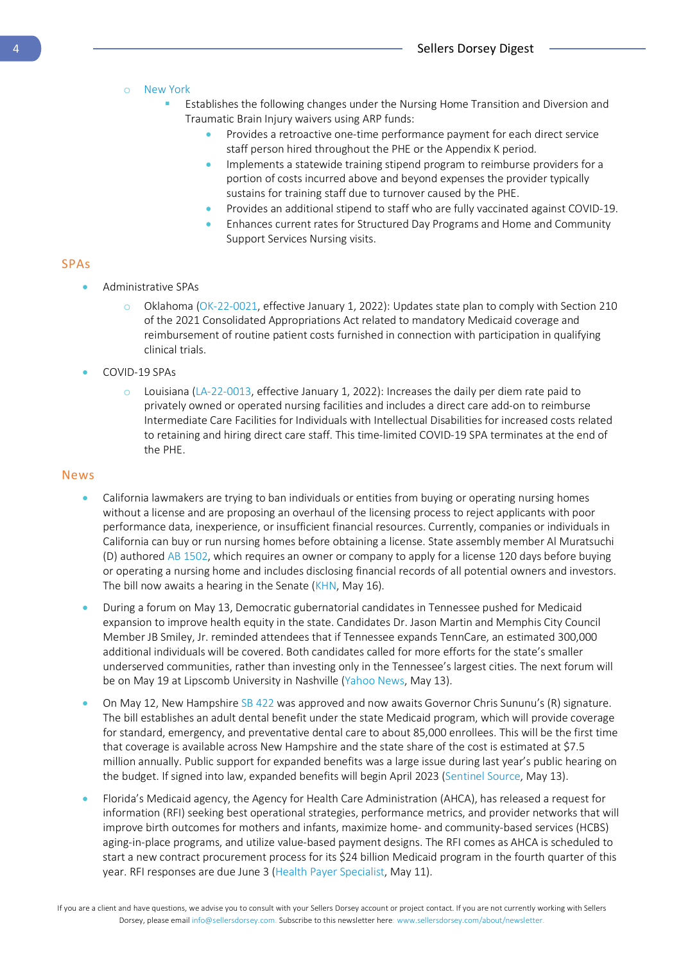#### o [New York](https://www.medicaid.gov/state-resource-center/downloads/ny-0444-0269-combined-5-appendix-k-appvl.pdf)

- **Establishes the following changes under the Nursing Home Transition and Diversion and** Traumatic Brain Injury waivers using ARP funds:
	- Provides a retroactive one-time performance payment for each direct service staff person hired throughout the PHE or the Appendix K period.
	- Implements a statewide training stipend program to reimburse providers for a portion of costs incurred above and beyond expenses the provider typically sustains for training staff due to turnover caused by the PHE.
	- Provides an additional stipend to staff who are fully vaccinated against COVID-19.
	- Enhances current rates for Structured Day Programs and Home and Community Support Services Nursing visits.

#### SPAs

- Administrative SPAs
	- o Oklahoma [\(OK-22-0021,](https://www.medicaid.gov/medicaid/spa/downloads/OK-22-0021.pdf) effective January 1, 2022): Updates state plan to comply with Section 210 of the 2021 Consolidated Appropriations Act related to mandatory Medicaid coverage and reimbursement of routine patient costs furnished in connection with participation in qualifying clinical trials.
- COVID-19 SPAs
	- $\circ$  Louisiana [\(LA-22-0013,](https://www.medicaid.gov/medicaid/spa/downloads/LA-22-0013.pdf) effective January 1, 2022): Increases the daily per diem rate paid to privately owned or operated nursing facilities and includes a direct care add-on to reimburse Intermediate Care Facilities for Individuals with Intellectual Disabilities for increased costs related to retaining and hiring direct care staff. This time-limited COVID-19 SPA terminates at the end of the PHE.

#### News

- California lawmakers are trying to ban individuals or entities from buying or operating nursing homes without a license and are proposing an overhaul of the licensing process to reject applicants with poor performance data, inexperience, or insufficient financial resources. Currently, companies or individuals in California can buy or run nursing homes before obtaining a license. State assembly member Al Muratsuchi (D) authore[d AB 1502,](https://leginfo.legislature.ca.gov/faces/billNavClient.xhtml?bill_id=202120220AB1502) which requires an owner or company to apply for a license 120 days before buying or operating a nursing home and includes disclosing financial records of all potential owners and investors. The bill now awaits a hearing in the Senate [\(KHN,](https://khn.org/news/article/after-the-pandemic-hit-nursing-homes-hard-lawmakers-push-to-tighten-licensing-rules/) May 16).
- During a forum on May 13, Democratic gubernatorial candidates in Tennessee pushed for Medicaid expansion to improve health equity in the state. Candidates Dr. Jason Martin and Memphis City Council Member JB Smiley, Jr. reminded attendees that if Tennessee expands TennCare, an estimated 300,000 additional individuals will be covered. Both candidates called for more efforts for the state's smaller underserved communities, rather than investing only in the Tennessee's largest cities. The next forum will be on May 19 at Lipscomb University in Nashville [\(Yahoo News,](https://news.yahoo.com/tennessees-democratic-gubernatorial-candidates-call-022928285.html) May 13).
- On May 12, New Hampshire [SB 422](https://legiscan.com/NH/text/SB422/2022) was approved and now awaits Governor Chris Sununu's (R) signature. The bill establishes an adult dental benefit under the state Medicaid program, which will provide coverage for standard, emergency, and preventative dental care to about 85,000 enrollees. This will be the first time that coverage is available across New Hampshire and the state share of the cost is estimated at \$7.5 million annually. Public support for expanded benefits was a large issue during last year's public hearing on the budget. If signed into law, expanded benefits will begin April 2023 [\(Sentinel Source,](https://www.sentinelsource.com/news/local/expanded-dental-benefits-for-medicaid-recipients-on-the-cusp-of-becoming-reality/article_5cfb2df1-27b3-56ba-9747-85d4e264a2e4.html) May 13).
- Florida's Medicaid agency, the Agency for Health Care Administration (AHCA), has released a request for information (RFI) seeking best operational strategies, performance metrics, and provider networks that will improve birth outcomes for mothers and infants, maximize home- and community-based services (HCBS) aging-in-place programs, and utilize value-based payment designs. The RFI comes as AHCA is scheduled to start a new contract procurement process for its \$24 billion Medicaid program in the fourth quarter of this year. RFI responses are due June 3 [\(Health Payer Specialist,](https://www.healthpayerspecialist.com/c/3599914/461664/florida_seeks_medicaid_expertise_contract_nears?referrer_module=issueHeadline&module_order=1) May 11).